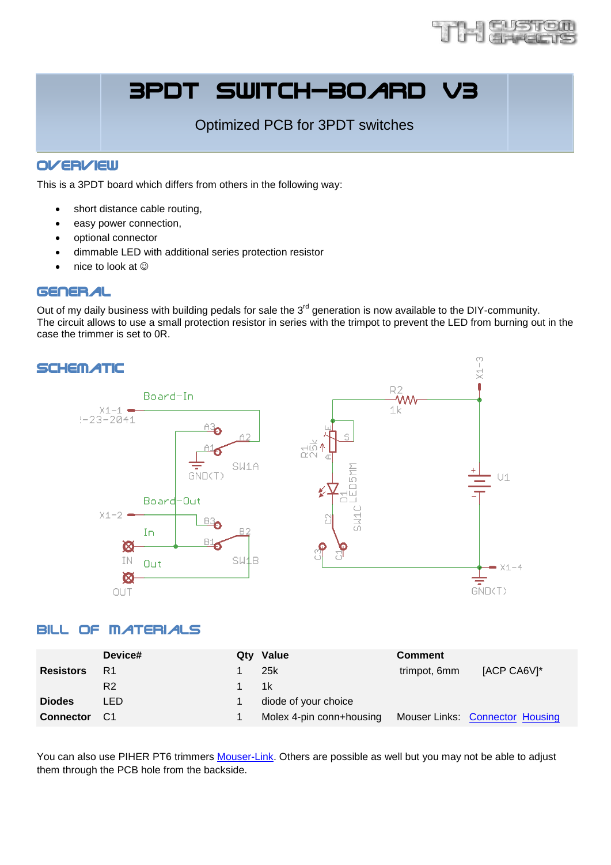

# 3PDT SWITCH-BOARD

Optimized PCB for 3PDT switches

## **OVERVIEW**

This is a 3PDT board which differs from others in the following way:

- short distance cable routing,
- easy power connection,
- optional connector
- dimmable LED with additional series protection resistor
- nice to look at

#### General

Out of my daily business with building pedals for sale the  $3<sup>rd</sup>$  generation is now available to the DIY-community. The circuit allows to use a small protection resistor in series with the trimpot to prevent the LED from burning out in the case the trimmer is set to 0R.



#### Bill of Materials

|                  | Device# | Qty Value                | <b>Comment</b> |                                        |
|------------------|---------|--------------------------|----------------|----------------------------------------|
| <b>Resistors</b> | R1      | 25k                      | trimpot, 6mm   | [ACP CA6V]*                            |
|                  | R2      | 1k                       |                |                                        |
| <b>Diodes</b>    | LED     | diode of your choice     |                |                                        |
| <b>Connector</b> | - C1    | Molex 4-pin conn+housing |                | <b>Mouser Links: Connector Housing</b> |

You can also use PIHER PT6 trimmers [Mouser-Link.](http://de.mouser.com/ProductDetail/Piher/PT6KV-253A2020/?qs=sGAEpiMZZMtC25l1F4XBU%252bo9fLf9DWN0u0ATDwT00Gg%3d) Others are possible as well but you may not be able to adjust them through the PCB hole from the backside.